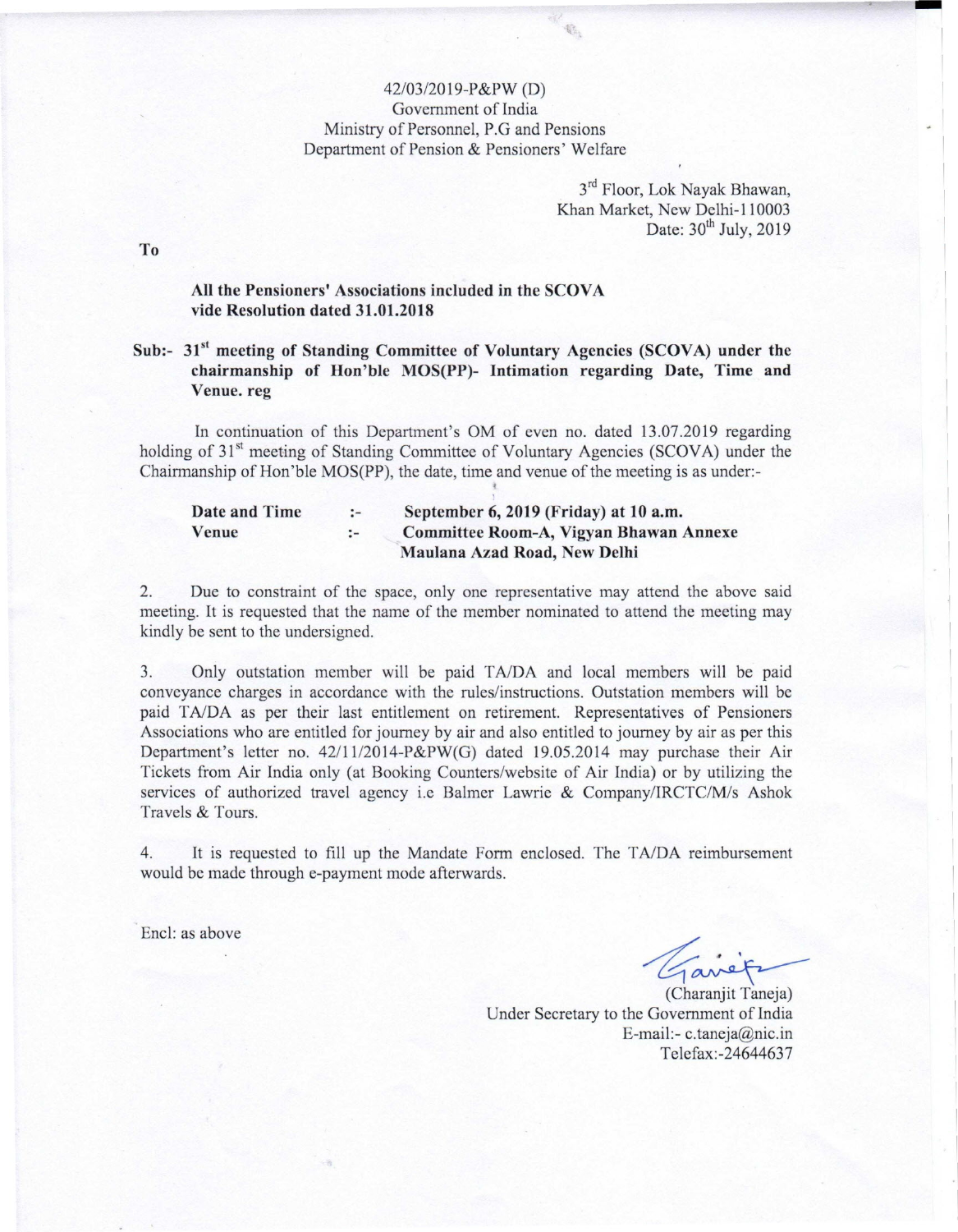## 42/03/20 19-P&PW (D) Government of India Ministry of Personnel, P.G and Pensions Department of Pension & Pensioners' Welfare

 $\mathbb{G}_2$ 

3<sup>rd</sup> Floor, Lok Nayak Bhawan Khan Market, New Delhi-l 10003 Date:  $30^{th}$  July, 2019

To

### All the Pensioners' Associations included in the SCOVA vide Resolution dated 31.01.2018

# Sub:- 31<sup>st</sup> meeting of Standing Committee of Voluntary Agencies (SCOVA) under the chairmanship of Hon'ble MOS(PP)- Intimation regarding Date, Time and Venue. reg

In continuation of this Department's OM of even no. dated 13.07.2019 regarding holding of 31<sup>st</sup> meeting of Standing Committee of Voluntary Agencies (SCOVA) under the Chairmanship of Hon'ble MOS(PP), the date, time and venue of the meeting is as under:

| Date and Time | $-1$        | September 6, 2019 (Friday) at 10 a.m.  |
|---------------|-------------|----------------------------------------|
| Venue         | $\cdot$ $-$ | Committee Room-A, Vigyan Bhawan Annexe |
|               |             | Maulana Azad Road, New Delhi           |

2. Due to constraint of the space, only one representative may attend the above said meeting. It is requested that the name of the member nominated to attend the meeting may kindly be sent to the undersigned.

3. Only outstation member will be paid TA/DA and local members will be paid conveyance charges in accordance with the rules/instructions. Outstation members will be paid T*AIDA* as per their last entitlement on retirement. Representatives of Pensioners Associations who are entitled for journey by air and also entitled to journey by air as per this Department's letter no. 42111/2014-P&PW(G) dated 19.05.2014 may purchase their Air Tickets from Air India only (at Booking Counters/website of Air India) or by utilizing the services of authorized travel agency i.e Balmer Lawrie & Company/IRCTC/M/s Ashok Travels & Tours.

4. It is requested to fill up the Mandate Form enclosed. The T*AIDA* reimbursement would be made through e-payment mode afterwards.

Encl: as above

 $\ddot{\phantom{0}}$ 

(Charanjit Taneja) Under Secretary to the Government of India E-mail:- [c.taneja@nic.in](mailto:c.taneja@nic.in) Telefax:-24644637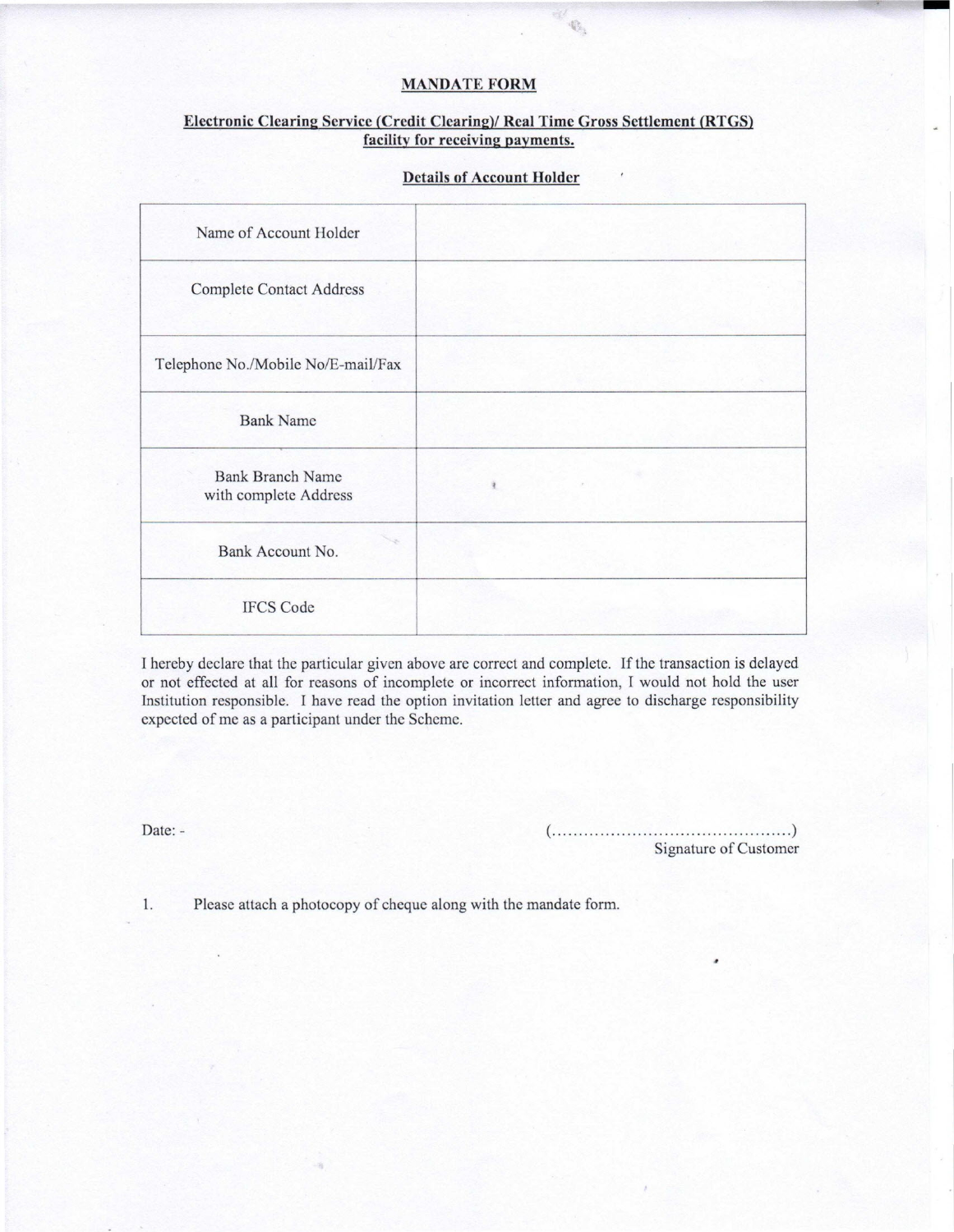### **MANDATE FORM**

 $\mathbb{Q}_1$ 

### **Electronic Clearine. Service (Credit Clearing)! Real Time Gross Settlement (RTGS) facility for receiving payments.**

| Name of Account Holder                           |  |
|--------------------------------------------------|--|
| <b>Complete Contact Address</b>                  |  |
| Telephone No./Mobile No/E-mail/Fax               |  |
| <b>Bank Name</b>                                 |  |
| <b>Bank Branch Name</b><br>with complete Address |  |
| Bank Account No.                                 |  |
| <b>IFCS Code</b>                                 |  |

### **Details of Account Holder**

I hereby declare that the particular given above are correct and complete. If the transaction is delayed or not effected at all for reasons of incomplete or incorrect information, I would not hold the user Institution responsible. I have read the option invitation letter and agree to discharge responsibility expected of me as a participant under the Scheme.

Date: - ( ) Signature of Customer ,

1. Please attach a photocopy of cheque along with the mandate form.